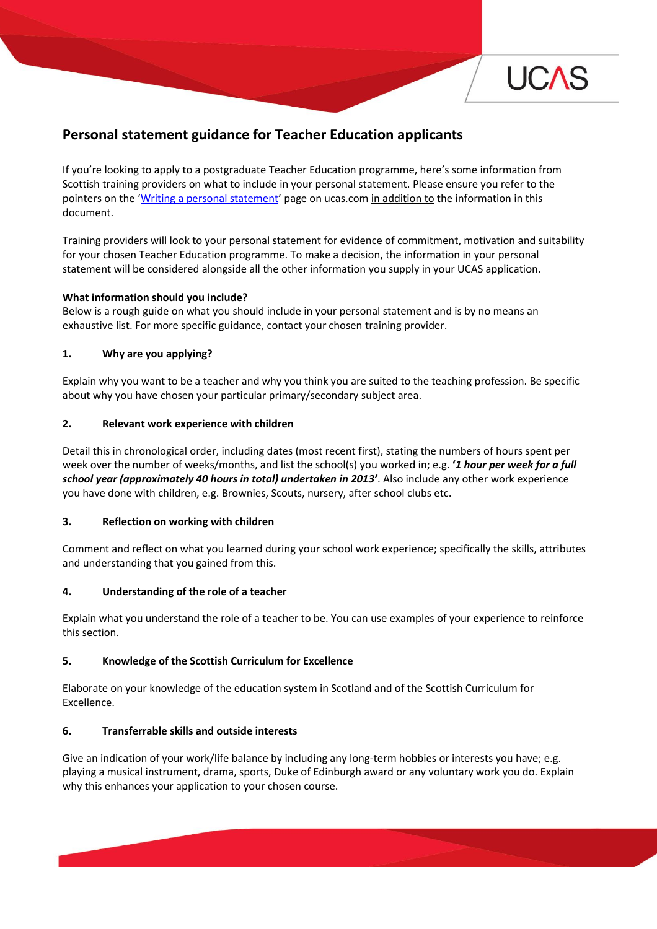

# **Personal statement guidance for Teacher Education applicants**

If you're looking to apply to a postgraduate Teacher Education programme, here's some information from Scottish training providers on what to include in your personal statement. Please ensure you refer to the pointers on the 'Writing a [personal statement](https://www.ucas.com/ucas/undergraduate/apply-track/writing-personal-statement)' page on ucas.com in addition to the information in this document.

Training providers will look to your personal statement for evidence of commitment, motivation and suitability for your chosen Teacher Education programme. To make a decision, the information in your personal statement will be considered alongside all the other information you supply in your UCAS application.

#### **What information should you include?**

Below is a rough guide on what you should include in your personal statement and is by no means an exhaustive list. For more specific guidance, contact your chosen training provider.

## **1. Why are you applying?**

Explain why you want to be a teacher and why you think you are suited to the teaching profession. Be specific about why you have chosen your particular primary/secondary subject area.

## **2. Relevant work experience with children**

Detail this in chronological order, including dates (most recent first), stating the numbers of hours spent per week over the number of weeks/months, and list the school(s) you worked in; e.g. **'***1 hour per week for a full school year (approximately 40 hours in total) undertaken in 2013'*. Also include any other work experience you have done with children, e.g. Brownies, Scouts, nursery, after school clubs etc.

#### **3. Reflection on working with children**

Comment and reflect on what you learned during your school work experience; specifically the skills, attributes and understanding that you gained from this.

#### **4. Understanding of the role of a teacher**

Explain what you understand the role of a teacher to be. You can use examples of your experience to reinforce this section.

#### **5. Knowledge of the Scottish Curriculum for Excellence**

Elaborate on your knowledge of the education system in Scotland and of the Scottish Curriculum for Excellence.

#### **6. Transferrable skills and outside interests**

Give an indication of your work/life balance by including any long-term hobbies or interests you have; e.g. playing a musical instrument, drama, sports, Duke of Edinburgh award or any voluntary work you do. Explain why this enhances your application to your chosen course.